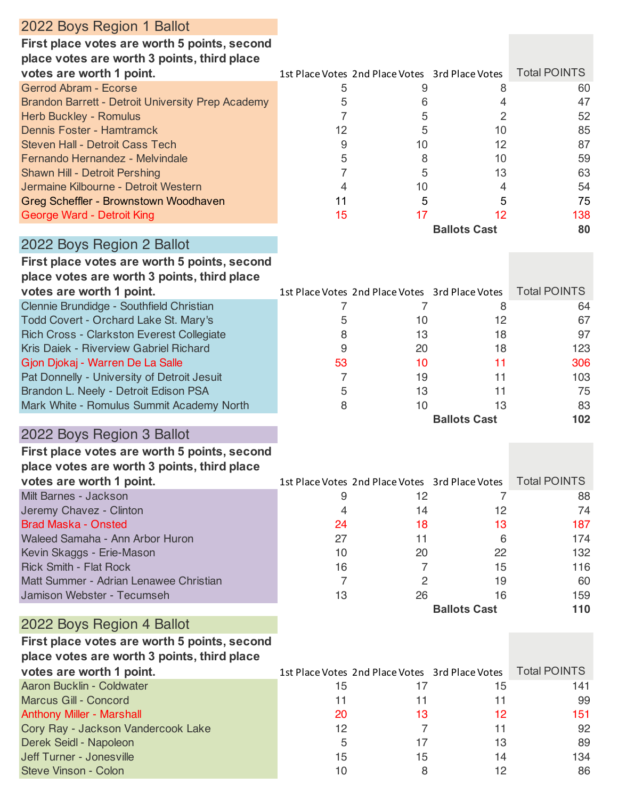| 2022 Boys Region 1 Ballot                                                          |                |                                                 |                     |                     |
|------------------------------------------------------------------------------------|----------------|-------------------------------------------------|---------------------|---------------------|
| First place votes are worth 5 points, second                                       |                |                                                 |                     |                     |
| place votes are worth 3 points, third place                                        |                |                                                 |                     |                     |
| votes are worth 1 point.                                                           |                | 1st Place Votes 2nd Place Votes 3rd Place Votes |                     | <b>Total POINTS</b> |
| Gerrod Abram - Ecorse                                                              | 5              | 9                                               | 8                   | 60                  |
| <b>Brandon Barrett - Detroit University Prep Academy</b>                           | 5              | 6                                               | 4                   | 47                  |
| Herb Buckley - Romulus                                                             | 7              | 5                                               | 2                   | 52                  |
| Dennis Foster - Hamtramck                                                          | 12             | 5                                               | 10                  | 85                  |
| <b>Steven Hall - Detroit Cass Tech</b>                                             | 9              | 10                                              | 12                  | 87                  |
| Fernando Hernandez - Melvindale                                                    | 5              | 8                                               | 10                  | 59                  |
| Shawn Hill - Detroit Pershing                                                      | $\overline{7}$ | 5                                               | 13                  | 63                  |
| Jermaine Kilbourne - Detroit Western                                               | 4              | 10                                              | 4                   | 54                  |
| Greg Scheffler - Brownstown Woodhaven                                              | 11             | 5                                               | 5                   | 75                  |
| George Ward - Detroit King                                                         | 15             | 17                                              | 12                  | 138                 |
|                                                                                    |                |                                                 | <b>Ballots Cast</b> | 80                  |
| 2022 Boys Region 2 Ballot                                                          |                |                                                 |                     |                     |
| First place votes are worth 5 points, second                                       |                |                                                 |                     |                     |
| place votes are worth 3 points, third place                                        |                |                                                 |                     |                     |
| votes are worth 1 point.                                                           |                | 1st Place Votes 2nd Place Votes 3rd Place Votes |                     | <b>Total POINTS</b> |
| Clennie Brundidge - Southfield Christian                                           |                | 7                                               |                     |                     |
|                                                                                    | 7              | 10                                              | 8<br>12             | 64<br>67            |
| Todd Covert - Orchard Lake St. Mary's<br>Rich Cross - Clarkston Everest Collegiate | 5<br>8         | 13                                              | 18                  | 97                  |
| Kris Daiek - Riverview Gabriel Richard                                             | 9              | 20                                              | 18                  | 123                 |
| Gjon Djokaj - Warren De La Salle                                                   | 53             | 10                                              | 11                  | 306                 |
| Pat Donnelly - University of Detroit Jesuit                                        | $\overline{7}$ | 19                                              | 11                  | 103                 |
| Brandon L. Neely - Detroit Edison PSA                                              | 5              | 13                                              | 11                  | 75                  |
| Mark White - Romulus Summit Academy North                                          | 8              | 10                                              | 13                  | 83                  |
|                                                                                    |                |                                                 | <b>Ballots Cast</b> | 102                 |
|                                                                                    |                |                                                 |                     |                     |
| 2022 Boys Region 3 Ballot                                                          |                |                                                 |                     |                     |
| First place votes are worth 5 points, second                                       |                |                                                 |                     |                     |
| place votes are worth 3 points, third place                                        |                |                                                 |                     |                     |
| votes are worth 1 point.                                                           |                | 1st Place Votes 2nd Place Votes 3rd Place Votes |                     | <b>Total POINTS</b> |
| Milt Barnes - Jackson                                                              | 9              | 12                                              | 7                   | 88                  |
| Jeremy Chavez - Clinton                                                            | 4              | 14                                              | 12                  | 74                  |
| <b>Brad Maska - Onsted</b>                                                         | 24             | 18                                              | 13                  | 187                 |
| Waleed Samaha - Ann Arbor Huron                                                    | 27             | 11                                              | 6                   | 174                 |
| Kevin Skaggs - Erie-Mason                                                          | 10             | 20                                              | 22                  | 132                 |
| <b>Rick Smith - Flat Rock</b>                                                      | 16             | 7                                               | 15                  | 116                 |
| Matt Summer - Adrian Lenawee Christian                                             | $\overline{7}$ | 2                                               | 19                  | 60                  |
| Jamison Webster - Tecumseh                                                         | 13             | 26                                              | 16                  | 159                 |
|                                                                                    |                |                                                 | <b>Ballots Cast</b> | 110                 |
| 2022 Boys Region 4 Ballot                                                          |                |                                                 |                     |                     |
| First place votes are worth 5 points, second                                       |                |                                                 |                     |                     |
| place votes are worth 3 points, third place                                        |                |                                                 |                     |                     |
| votes are worth 1 point.                                                           |                | 1st Place Votes 2nd Place Votes 3rd Place Votes |                     | <b>Total POINTS</b> |
| Aaron Bucklin - Coldwater                                                          | 15             | 17                                              | 15                  | 141                 |
| Marcus Gill - Concord                                                              | 11             | 11                                              | 11                  | 99                  |
| <b>Anthony Miller - Marshall</b>                                                   | 20             | 13                                              | 12                  | 151                 |
| Cory Ray - Jackson Vandercook Lake                                                 | 12             | 7                                               | 11                  | 92                  |
| Derek Seidl - Napoleon                                                             | 5              | 17                                              | 13                  | 89                  |
| Jeff Turner - Jonesville                                                           | 15             | 15                                              | 14                  | 134                 |
| Steve Vinson - Colon                                                               | 10             | 8                                               | 12                  | 86                  |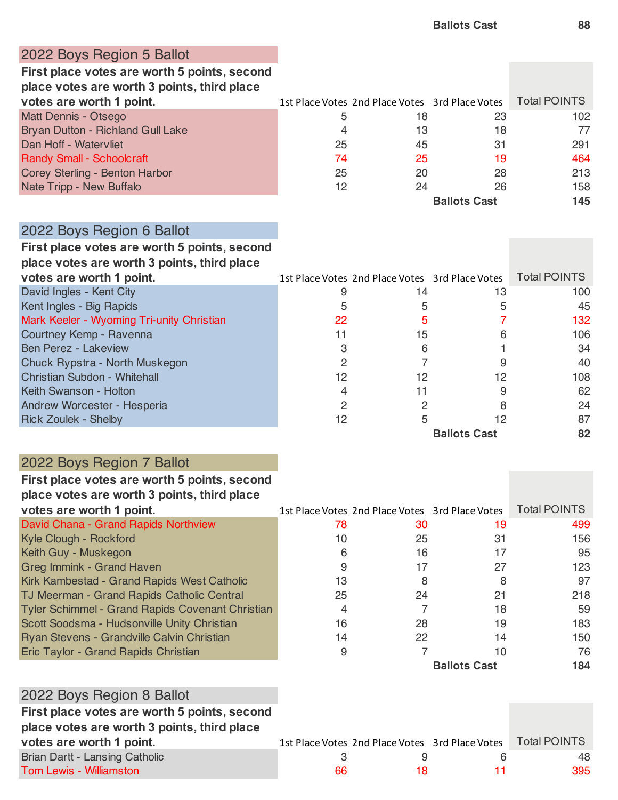#### 2022 Boys Region 5 Ballot

**First place votes are worth 5 points, second place votes are worth 3 points, third place** 

| votes are worth 1 point.          |    | 1st Place Votes 2nd Place Votes 3rd Place Votes |                     | <b>Total POINTS</b> |
|-----------------------------------|----|-------------------------------------------------|---------------------|---------------------|
| Matt Dennis - Otsego              | ხ  | 18                                              | 23                  | 102                 |
| Bryan Dutton - Richland Gull Lake | 4  | 13                                              | 18                  | 77                  |
| Dan Hoff - Watervliet             | 25 | 45                                              | 31                  | 291                 |
| <b>Randy Small - Schoolcraft</b>  | 74 | 25                                              | 19                  | 464                 |
| Corey Sterling - Benton Harbor    | 25 | 20                                              | 28                  | 213                 |
| Nate Tripp - New Buffalo          | 12 | 24                                              | 26                  | 158                 |
|                                   |    |                                                 | <b>Ballots Cast</b> | 145                 |

### 2022 Boys Region 6 Ballot

### **First place votes are worth 5 points, second**

**place votes are worth 3 points, third place** 

| votes are worth 1 point.                  |    | 1st Place Votes 2nd Place Votes 3rd Place Votes |                     | <b>Total POINTS</b> |
|-------------------------------------------|----|-------------------------------------------------|---------------------|---------------------|
| David Ingles - Kent City                  |    | 14                                              | 13                  | 100                 |
| Kent Ingles - Big Rapids                  | 5  |                                                 |                     | 45                  |
| Mark Keeler - Wyoming Tri-unity Christian | 22 |                                                 |                     | 132                 |
| Courtney Kemp - Ravenna                   | 11 | 15                                              |                     | 106                 |
| <b>Ben Perez - Lakeview</b>               |    | 6                                               |                     | 34                  |
| Chuck Rypstra - North Muskegon            |    |                                                 |                     | 40                  |
| Christian Subdon - Whitehall              | 12 | 12                                              | 12                  | 108                 |
| Keith Swanson - Holton                    |    | 11                                              |                     | 62                  |
| Andrew Worcester - Hesperia               |    |                                                 |                     | 24                  |
| <b>Rick Zoulek - Shelby</b>               | 12 |                                                 |                     | 87                  |
|                                           |    |                                                 | <b>Ballots Cast</b> | 82                  |

## 2022 Boys Region 7 Ballot

#### **First place votes are worth 5 points, second place votes are worth 3 points, third place**

| $P = 1$ , which are $P = 11$ , which is positive function to the set |    |                                                 |              |                     |
|----------------------------------------------------------------------|----|-------------------------------------------------|--------------|---------------------|
| votes are worth 1 point.                                             |    | 1st Place Votes 2nd Place Votes 3rd Place Votes |              | <b>Total POINTS</b> |
| David Chana - Grand Rapids Northview                                 | 78 | 30                                              | 19           | 499                 |
| Kyle Clough - Rockford                                               | 10 | 25                                              | 31           | 156                 |
| Keith Guy - Muskegon                                                 | 6  | 16                                              | 17           | 95                  |
| <b>Greg Immink - Grand Haven</b>                                     |    | 17                                              | 27           | 123                 |
| Kirk Kambestad - Grand Rapids West Catholic                          | 13 | 8                                               |              | 97                  |
| TJ Meerman - Grand Rapids Catholic Central                           | 25 | 24                                              | 21           | 218                 |
| <b>Tyler Schimmel - Grand Rapids Covenant Christian</b>              | 4  |                                                 | 18           | 59                  |
| Scott Soodsma - Hudsonville Unity Christian                          | 16 | 28                                              | 19           | 183                 |
| Ryan Stevens - Grandville Calvin Christian                           | 14 | 22                                              | 14           | 150                 |
| Eric Taylor - Grand Rapids Christian                                 | 9  |                                                 | 10           | 76                  |
|                                                                      |    |                                                 | Dellate Cast | 1 O A               |

**Ballots Cast 184**

| 2022 Boys Region 8 Ballot                    |    |    |                                                 |                     |
|----------------------------------------------|----|----|-------------------------------------------------|---------------------|
| First place votes are worth 5 points, second |    |    |                                                 |                     |
| place votes are worth 3 points, third place  |    |    |                                                 |                     |
| votes are worth 1 point.                     |    |    | 1st Place Votes 2nd Place Votes 3rd Place Votes | <b>Total POINTS</b> |
| Brian Dartt - Lansing Catholic               |    |    |                                                 | 48                  |
| <b>Tom Lewis - Williamston</b>               | 66 | 18 |                                                 | 395                 |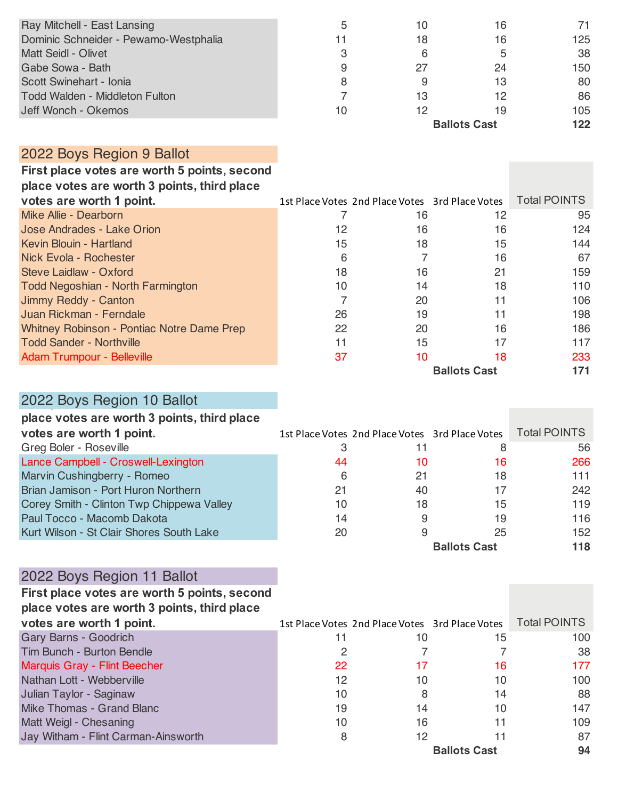| Ray Mitchell - East Lansing           | 5  | 10 | 16                  | 71  |
|---------------------------------------|----|----|---------------------|-----|
| Dominic Schneider - Pewamo-Westphalia | 11 | 18 | 16                  | 125 |
| <b>Matt Seidl - Olivet</b>            | 3  | 6  |                     | 38  |
| Gabe Sowa - Bath                      | 9  | 27 | 24                  | 150 |
| Scott Swinehart - Ionia               | 8  | 9  | 13                  | 80  |
| <b>Todd Walden - Middleton Fulton</b> |    | 13 | 12                  | 86  |
| Jeff Wonch - Okemos                   | 10 | 12 | 19                  | 105 |
|                                       |    |    | <b>Ballots Cast</b> | 122 |

## 2022 Boys Region 9 Ballot

**First place votes are worth 5 points, second** 

| votes are worth 1 point.                   |    | 1st Place Votes 2nd Place Votes 3rd Place Votes |    | <b>Total POINTS</b> |  |
|--------------------------------------------|----|-------------------------------------------------|----|---------------------|--|
| Mike Allie - Dearborn                      |    | 16                                              | 12 | 95                  |  |
| Jose Andrades - Lake Orion                 | 12 | 16                                              | 16 | 124                 |  |
| Kevin Blouin - Hartland                    | 15 | 18                                              | 15 | 144                 |  |
| Nick Evola - Rochester                     | 6  |                                                 | 16 | 67                  |  |
| Steve Laidlaw - Oxford                     | 18 | 16                                              | 21 | 159                 |  |
| <b>Todd Negoshian - North Farmington</b>   | 10 | 14                                              | 18 | 110                 |  |
| Jimmy Reddy - Canton                       |    | 20                                              |    | 106                 |  |
| Juan Rickman - Ferndale                    | 26 | 19                                              |    | 198                 |  |
| Whitney Robinson - Pontiac Notre Dame Prep | 22 | 20                                              | 16 | 186                 |  |
| <b>Todd Sander - Northville</b>            | 11 | 15                                              |    | 117                 |  |
| <b>Adam Trumpour - Belleville</b>          | 37 | 10                                              | 18 | 233                 |  |
| <b>Ballots Cast</b><br>171                 |    |                                                 |    |                     |  |

# 2022 Boys Region 10 Ballot

| place votes are worth 3 points, third place |  |  |  |
|---------------------------------------------|--|--|--|
|---------------------------------------------|--|--|--|

| votes are worth 1 point.                  |    | 1st Place Votes 2nd Place Votes 3rd Place Votes |                     | <b>Total POINTS</b> |
|-------------------------------------------|----|-------------------------------------------------|---------------------|---------------------|
| Greg Boler - Roseville                    | З  |                                                 |                     | 56                  |
| Lance Campbell - Croswell-Lexington       | 44 | 10                                              | 16                  | 266                 |
| Marvin Cushingberry - Romeo               | 6  | 21                                              | 18                  | 111                 |
| Brian Jamison - Port Huron Northern       | 21 | 40                                              |                     | 242                 |
| Corey Smith - Clinton Twp Chippewa Valley | 10 | 18                                              | 15                  | 119                 |
| Paul Tocco - Macomb Dakota                | 14 | 9                                               | 19                  | 116                 |
| Kurt Wilson - St Clair Shores South Lake  | 20 | 9                                               | 25                  | 152                 |
|                                           |    |                                                 | <b>Ballots Cast</b> | 118                 |

# 2022 Boys Region 11 Ballot

| First place votes are worth 5 points, second |    |                                                 |                     |                     |
|----------------------------------------------|----|-------------------------------------------------|---------------------|---------------------|
| place votes are worth 3 points, third place  |    |                                                 |                     |                     |
| votes are worth 1 point.                     |    | 1st Place Votes 2nd Place Votes 3rd Place Votes |                     | <b>Total POINTS</b> |
| Gary Barns - Goodrich                        | 11 | 10                                              | 15                  | 100                 |
| <b>Tim Bunch - Burton Bendle</b>             | 2  |                                                 |                     | 38                  |
| Marquis Gray - Flint Beecher                 | 22 | 17                                              | 16                  | 177                 |
| Nathan Lott - Webberville                    | 12 | 10                                              | 10                  | 100                 |
| Julian Taylor - Saginaw                      | 10 | 8                                               | 14                  | 88                  |
| Mike Thomas - Grand Blanc                    | 19 | 14                                              | 10                  | 147                 |
| Matt Weigl - Chesaning                       | 10 | 16                                              | 11                  | 109                 |
| Jay Witham - Flint Carman-Ainsworth          | 8  | 12                                              |                     | 87                  |
|                                              |    |                                                 | <b>Ballots Cast</b> | 94                  |